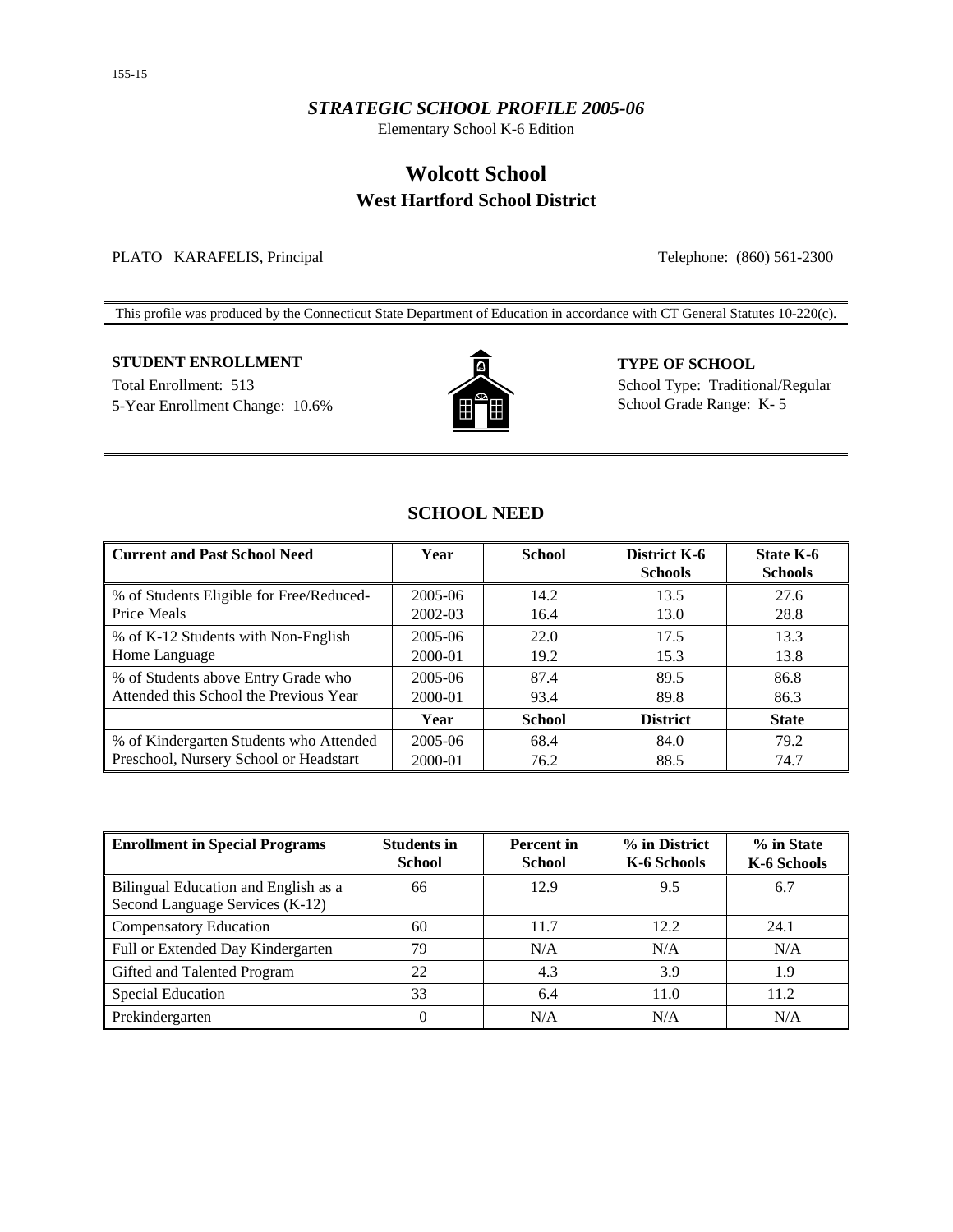### *STRATEGIC SCHOOL PROFILE 2005-06*

Elementary School K-6 Edition

# **Wolcott School West Hartford School District**

PLATO KARAFELIS, Principal Telephone: (860) 561-2300

This profile was produced by the Connecticut State Department of Education in accordance with CT General Statutes 10-220(c).

## **STUDENT ENROLLMENT TYPE OF SCHOOL**

5-Year Enrollment Change: 10.6%  $\begin{array}{c} \hline \end{array}$   $\begin{array}{ccc} \hline \end{array}$  School Grade Range: K- 5



Total Enrollment: 513 School Type: Traditional/Regular

## **SCHOOL NEED**

| <b>Current and Past School Need</b>                     | Year    | <b>School</b> | District K-6<br><b>Schools</b> | <b>State K-6</b><br><b>Schools</b> |
|---------------------------------------------------------|---------|---------------|--------------------------------|------------------------------------|
| % of Students Eligible for Free/Reduced-<br>Price Meals | 2005-06 | 14.2          | 13.5                           | 27.6                               |
|                                                         | 2002-03 | 16.4          | 13.0                           | 28.8                               |
| % of K-12 Students with Non-English                     | 2005-06 | 22.0          | 17.5                           | 13.3                               |
| Home Language                                           | 2000-01 | 19.2          | 15.3                           | 13.8                               |
| % of Students above Entry Grade who                     | 2005-06 | 87.4          | 89.5                           | 86.8                               |
| Attended this School the Previous Year                  | 2000-01 | 93.4          | 89.8                           | 86.3                               |
|                                                         | Year    | <b>School</b> | <b>District</b>                | <b>State</b>                       |
| % of Kindergarten Students who Attended                 | 2005-06 | 68.4          | 84.0                           | 79.2                               |
| Preschool, Nursery School or Headstart                  | 2000-01 | 76.2          | 88.5                           | 74.7                               |

| <b>Enrollment in Special Programs</b>                                   | <b>Students in</b><br><b>School</b> | <b>Percent</b> in<br><b>School</b> | % in District<br>K-6 Schools | % in State<br>K-6 Schools |
|-------------------------------------------------------------------------|-------------------------------------|------------------------------------|------------------------------|---------------------------|
| Bilingual Education and English as a<br>Second Language Services (K-12) | 66                                  | 12.9                               | 9.5                          | 6.7                       |
| <b>Compensatory Education</b>                                           | 60                                  | 11.7                               | 12.2                         | 24.1                      |
| Full or Extended Day Kindergarten                                       | 79                                  | N/A                                | N/A                          | N/A                       |
| Gifted and Talented Program                                             | 22                                  | 4.3                                | 3.9                          | 1.9                       |
| <b>Special Education</b>                                                | 33                                  | 6.4                                | 11.0                         | 11.2                      |
| Prekindergarten                                                         | 0                                   | N/A                                | N/A                          | N/A                       |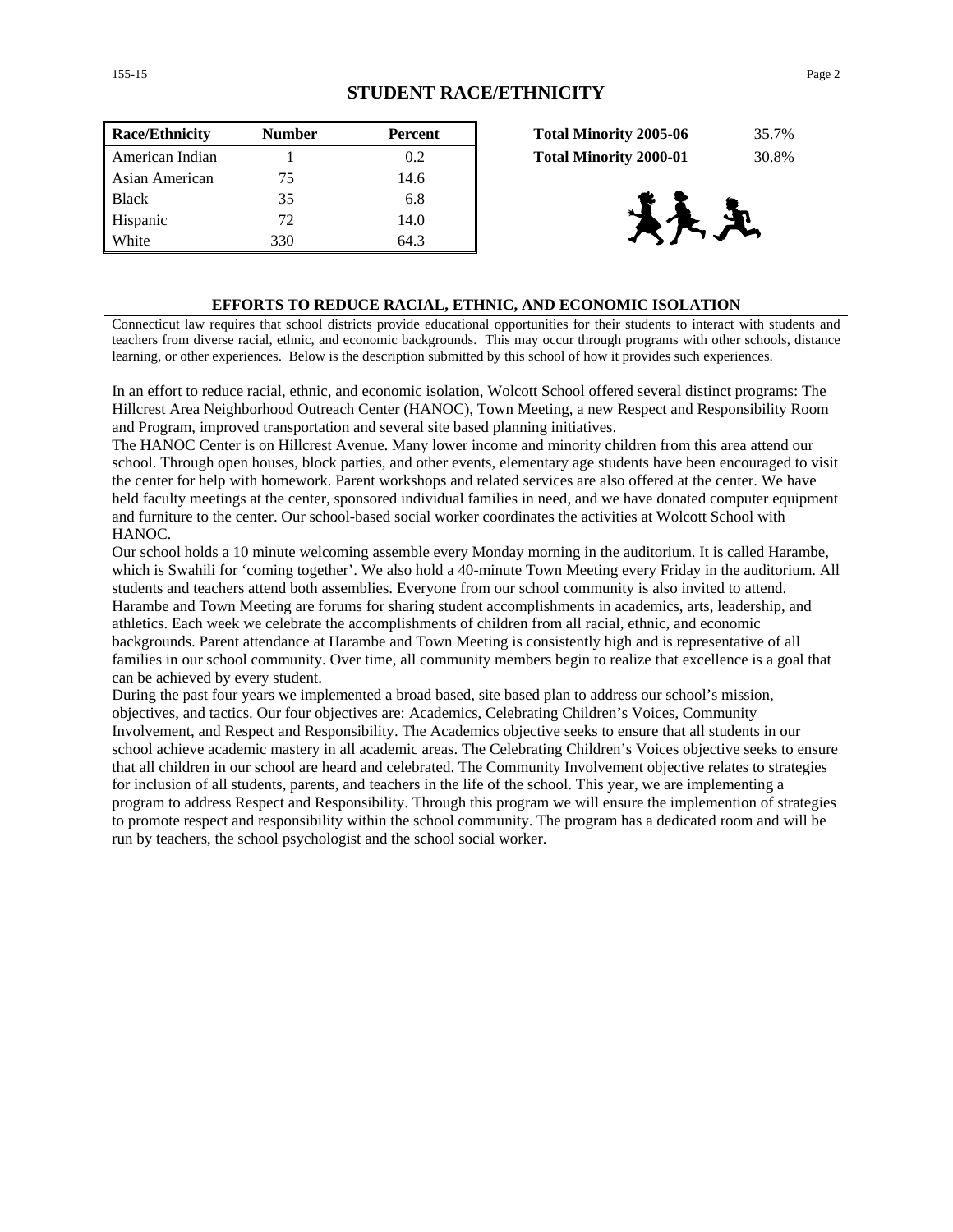| <b>Race/Ethnicity</b> | <b>Number</b> | Percent | 35.7%<br><b>Total Minority 2005-06</b> |
|-----------------------|---------------|---------|----------------------------------------|
| American Indian       |               | 0.2     | 30.8%<br><b>Total Minority 2000-01</b> |
| Asian American        | 75            | 14.6    |                                        |
| <b>Black</b>          | 35            | 6.8     |                                        |
| Hispanic              | 72            | 14.0    |                                        |
| White                 | 330           | 64.3    |                                        |

| <b>Total Minority 2005-06</b> | 35.7% |
|-------------------------------|-------|
| <b>Total Minority 2000-01</b> | 30.8% |



### **EFFORTS TO REDUCE RACIAL, ETHNIC, AND ECONOMIC ISOLATION**

Connecticut law requires that school districts provide educational opportunities for their students to interact with students and teachers from diverse racial, ethnic, and economic backgrounds. This may occur through programs with other schools, distance learning, or other experiences. Below is the description submitted by this school of how it provides such experiences.

In an effort to reduce racial, ethnic, and economic isolation, Wolcott School offered several distinct programs: The Hillcrest Area Neighborhood Outreach Center (HANOC), Town Meeting, a new Respect and Responsibility Room and Program, improved transportation and several site based planning initiatives.

The HANOC Center is on Hillcrest Avenue. Many lower income and minority children from this area attend our school. Through open houses, block parties, and other events, elementary age students have been encouraged to visit the center for help with homework. Parent workshops and related services are also offered at the center. We have held faculty meetings at the center, sponsored individual families in need, and we have donated computer equipment and furniture to the center. Our school-based social worker coordinates the activities at Wolcott School with HANOC.

Our school holds a 10 minute welcoming assemble every Monday morning in the auditorium. It is called Harambe, which is Swahili for 'coming together'. We also hold a 40-minute Town Meeting every Friday in the auditorium. All students and teachers attend both assemblies. Everyone from our school community is also invited to attend. Harambe and Town Meeting are forums for sharing student accomplishments in academics, arts, leadership, and athletics. Each week we celebrate the accomplishments of children from all racial, ethnic, and economic backgrounds. Parent attendance at Harambe and Town Meeting is consistently high and is representative of all families in our school community. Over time, all community members begin to realize that excellence is a goal that can be achieved by every student.

During the past four years we implemented a broad based, site based plan to address our school's mission, objectives, and tactics. Our four objectives are: Academics, Celebrating Children's Voices, Community Involvement, and Respect and Responsibility. The Academics objective seeks to ensure that all students in our school achieve academic mastery in all academic areas. The Celebrating Children's Voices objective seeks to ensure that all children in our school are heard and celebrated. The Community Involvement objective relates to strategies for inclusion of all students, parents, and teachers in the life of the school. This year, we are implementing a program to address Respect and Responsibility. Through this program we will ensure the implemention of strategies to promote respect and responsibility within the school community. The program has a dedicated room and will be run by teachers, the school psychologist and the school social worker.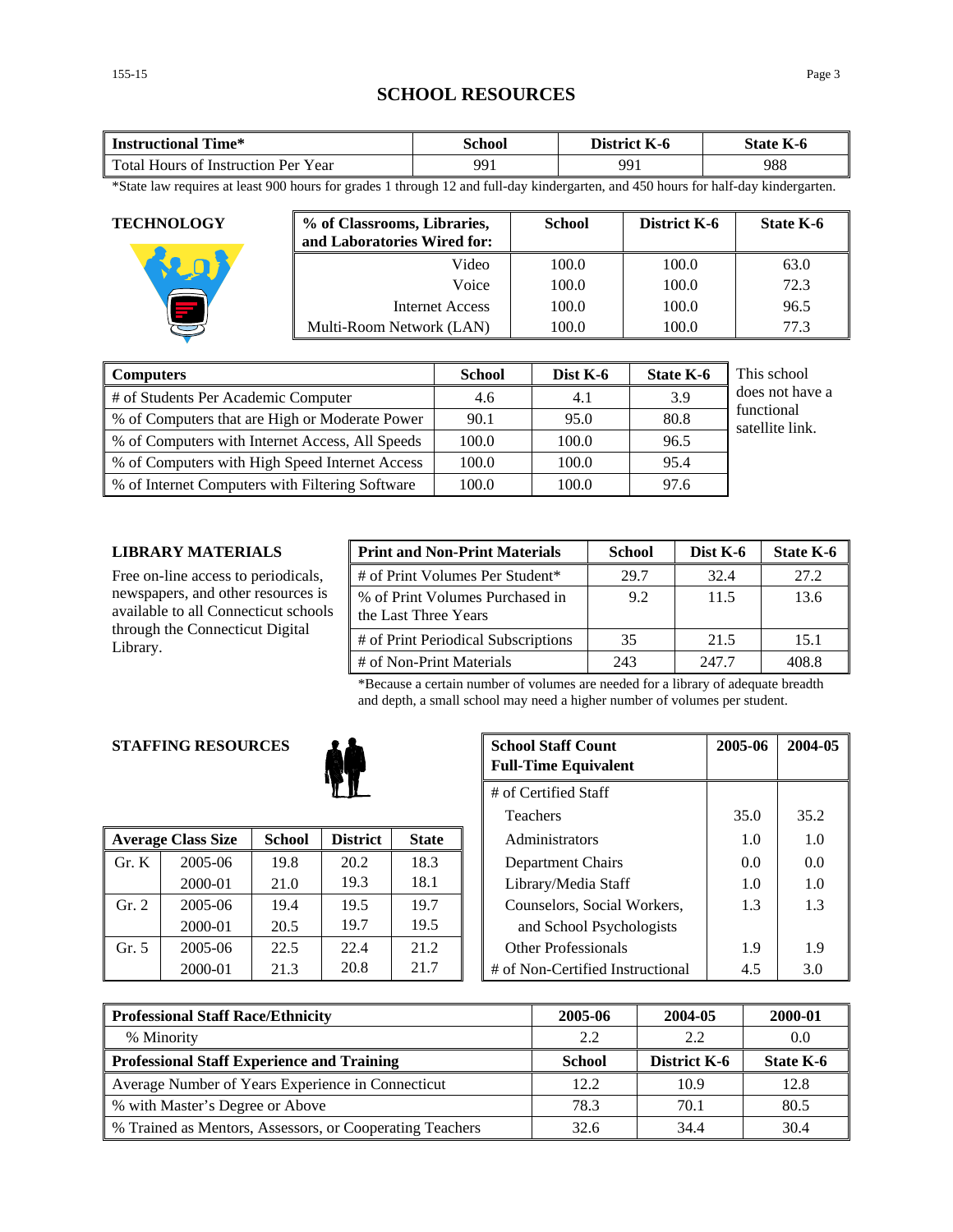## **SCHOOL RESOURCES**

| Time*                               | `chool | District | $-$       |
|-------------------------------------|--------|----------|-----------|
| <b>Instructional</b>                |        | - K-0    | State K-6 |
| Total Hours of Instruction Per Year | 991    | 991      | 988       |

\*State law requires at least 900 hours for grades 1 through 12 and full-day kindergarten, and 450 hours for half-day kindergarten.

| <b>TECHNOLOGY</b> | % of Classrooms, Libraries,<br>and Laboratories Wired for: | <b>School</b> | District K-6 | State K-6 |
|-------------------|------------------------------------------------------------|---------------|--------------|-----------|
|                   | Video                                                      | 100.0         | 100.0        | 63.0      |
|                   | Voice                                                      | 100.0         | 100.0        | 72.3      |
|                   | Internet Access                                            | 100.0         | 100.0        | 96.5      |
|                   | Multi-Room Network (LAN)                                   | 100.0         | 100.0        | 77.3      |

| <b>Computers</b>                                | <b>School</b> | Dist K-6 | <b>State K-6</b> | This school                   |
|-------------------------------------------------|---------------|----------|------------------|-------------------------------|
| # of Students Per Academic Computer             | 4.6           | 4.1      | 3.9              | does not have a               |
| % of Computers that are High or Moderate Power  | 90.1          | 95.0     | 80.8             | functional<br>satellite link. |
| % of Computers with Internet Access, All Speeds | 100.0         | 100.0    | 96.5             |                               |
| % of Computers with High Speed Internet Access  | 100.0         | 100.0    | 95.4             |                               |
| % of Internet Computers with Filtering Software | 100.0         | 100.0    | 97.6             |                               |

#### **LIBRARY MATERIALS**

Free on-line access to periodicals, newspapers, and other resources is available to all Connecticut schools through the Connecticut Digital Library.

| <b>Print and Non-Print Materials</b>                    | <b>School</b> | Dist K-6 | State K-6 |
|---------------------------------------------------------|---------------|----------|-----------|
| # of Print Volumes Per Student*                         | 29.7          | 32.4     | 27.2      |
| % of Print Volumes Purchased in<br>the Last Three Years | 9.2           | 11.5     | 13.6      |
| # of Print Periodical Subscriptions                     | 35            | 21.5     | 15.1      |
| # of Non-Print Materials                                | 243           | 247.7    | 408.8     |

\*Because a certain number of volumes are needed for a library of adequate breadth and depth, a small school may need a higher number of volumes per student.

### **STAFFING RESOURCES**



|       | <b>Average Class Size</b> | <b>School</b> | <b>District</b> | <b>State</b> | Administrators                   | 1.0 | 1.0 |
|-------|---------------------------|---------------|-----------------|--------------|----------------------------------|-----|-----|
| Gr. K | 2005-06                   | 19.8          | 20.2            | 18.3         | Department Chairs                | 0.0 | 0.0 |
|       | 2000-01                   | 21.0          | 19.3            | 18.1         | Library/Media Staff              | 1.0 | 1.0 |
| Gr. 2 | 2005-06                   | 19.4          | 19.5            | 19.7         | Counselors, Social Workers,      | 1.3 | 1.3 |
|       | 2000-01                   | 20.5          | 19.7            | 19.5         | and School Psychologists         |     |     |
| Gr. 5 | 2005-06                   | 22.5          | 22.4            | 21.2         | <b>Other Professionals</b>       | 1.9 | 1.9 |
|       | 2000-01                   | 21.3          | 20.8            | 21.7         | # of Non-Certified Instructional | 4.5 | 3.0 |

| <b>School Staff Count</b><br><b>G RESOURCES</b> |               | <b>Full-Time Equivalent</b> | 2005-06      | 2004-05 |                                  |      |      |
|-------------------------------------------------|---------------|-----------------------------|--------------|---------|----------------------------------|------|------|
| # of Certified Staff                            |               |                             |              |         |                                  |      |      |
|                                                 |               |                             |              |         | <b>Teachers</b>                  | 35.0 | 35.2 |
| 'lass Size                                      | <b>School</b> | <b>District</b>             | <b>State</b> |         | Administrators                   | 1.0  | 1.0  |
| 2005-06                                         | 19.8          | 20.2                        | 18.3         |         | Department Chairs                | 0.0  | 0.0  |
| 2000-01                                         | 21.0          | 19.3                        | 18.1         |         | Library/Media Staff              | 1.0  | 1.0  |
| 2005-06                                         | 19.4          | 19.5                        | 19.7         |         | Counselors, Social Workers,      | 1.3  | 1.3  |
| 2000-01                                         | 20.5          | 19.7                        | 19.5         |         | and School Psychologists         |      |      |
| 2005-06                                         | 22.5          | 22.4                        | 21.2         |         | <b>Other Professionals</b>       | 1.9  | 1.9  |
| 2000-01                                         | 21.3          | 20.8                        | 21.7         |         | # of Non-Certified Instructional | 4.5  | 3.0  |

| <b>Professional Staff Race/Ethnicity</b>                 | 2005-06       | 2004-05             | 2000-01   |
|----------------------------------------------------------|---------------|---------------------|-----------|
| % Minority                                               | 2.2           | 2.2                 | 0.0       |
| <b>Professional Staff Experience and Training</b>        | <b>School</b> | <b>District K-6</b> | State K-6 |
| Average Number of Years Experience in Connecticut        | 12.2          | 10.9                | 12.8      |
| % with Master's Degree or Above                          | 78.3          | 70.1                | 80.5      |
| % Trained as Mentors, Assessors, or Cooperating Teachers | 32.6          | 34.4                | 30.4      |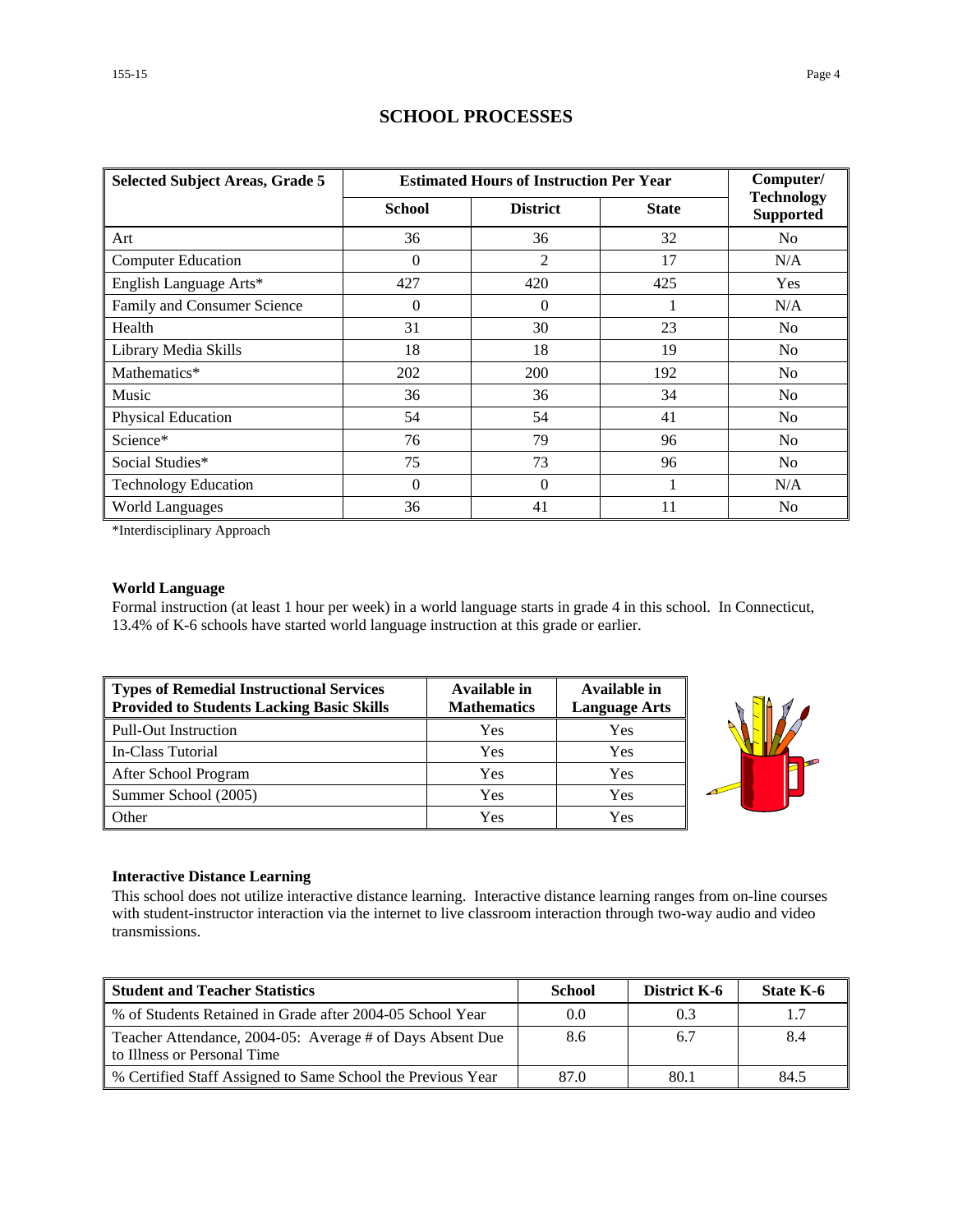| <b>Selected Subject Areas, Grade 5</b> | <b>Estimated Hours of Instruction Per Year</b> | Computer/       |              |                                       |
|----------------------------------------|------------------------------------------------|-----------------|--------------|---------------------------------------|
|                                        | <b>School</b>                                  | <b>District</b> | <b>State</b> | <b>Technology</b><br><b>Supported</b> |
| Art                                    | 36                                             | 36              | 32           | N <sub>0</sub>                        |
| <b>Computer Education</b>              | $\Omega$                                       | 2               | 17           | N/A                                   |
| English Language Arts*                 | 427                                            | 420             | 425          | Yes                                   |
| Family and Consumer Science            | $\Omega$                                       | $\Omega$        |              | N/A                                   |
| Health                                 | 31                                             | 30              | 23           | N <sub>0</sub>                        |
| Library Media Skills                   | 18                                             | 18              | 19           | N <sub>0</sub>                        |
| Mathematics*                           | 202                                            | 200             | 192          | N <sub>0</sub>                        |
| Music                                  | 36                                             | 36              | 34           | N <sub>0</sub>                        |
| Physical Education                     | 54                                             | 54              | 41           | No                                    |
| Science*                               | 76                                             | 79              | 96           | N <sub>0</sub>                        |
| Social Studies*                        | 75                                             | 73              | 96           | No                                    |
| <b>Technology Education</b>            | $\Omega$                                       | $\Omega$        |              | N/A                                   |
| <b>World Languages</b>                 | 36                                             | 41              | 11           | N <sub>0</sub>                        |

## **SCHOOL PROCESSES**

\*Interdisciplinary Approach

### **World Language**

Formal instruction (at least 1 hour per week) in a world language starts in grade 4 in this school. In Connecticut, 13.4% of K-6 schools have started world language instruction at this grade or earlier.

| Types of Remedial Instructional Services<br>Provided to Students Lacking Basic Skills | Available in<br><b>Mathematics</b> | Available in<br><b>Language Arts</b> |
|---------------------------------------------------------------------------------------|------------------------------------|--------------------------------------|
| Pull-Out Instruction                                                                  | Yes                                | Yes                                  |
| In-Class Tutorial                                                                     | Yes                                | Yes                                  |
| After School Program                                                                  | Yes                                | Yes                                  |
| Summer School (2005)                                                                  | Yes                                | Yes                                  |
| <b>Other</b>                                                                          | Yes                                | Yes                                  |



#### **Interactive Distance Learning**

This school does not utilize interactive distance learning. Interactive distance learning ranges from on-line courses with student-instructor interaction via the internet to live classroom interaction through two-way audio and video transmissions.

| <b>Student and Teacher Statistics</b>                                                    | <b>School</b> | <b>District K-6</b> | State K-6 |
|------------------------------------------------------------------------------------------|---------------|---------------------|-----------|
| Ⅰ % of Students Retained in Grade after 2004-05 School Year                              | 0.0           | 0.3                 |           |
| Teacher Attendance, 2004-05: Average # of Days Absent Due<br>to Illness or Personal Time | 8.6           | 6.7                 | 8.4       |
| ■ % Certified Staff Assigned to Same School the Previous Year                            | 87.0          | 80.1                | 84.5      |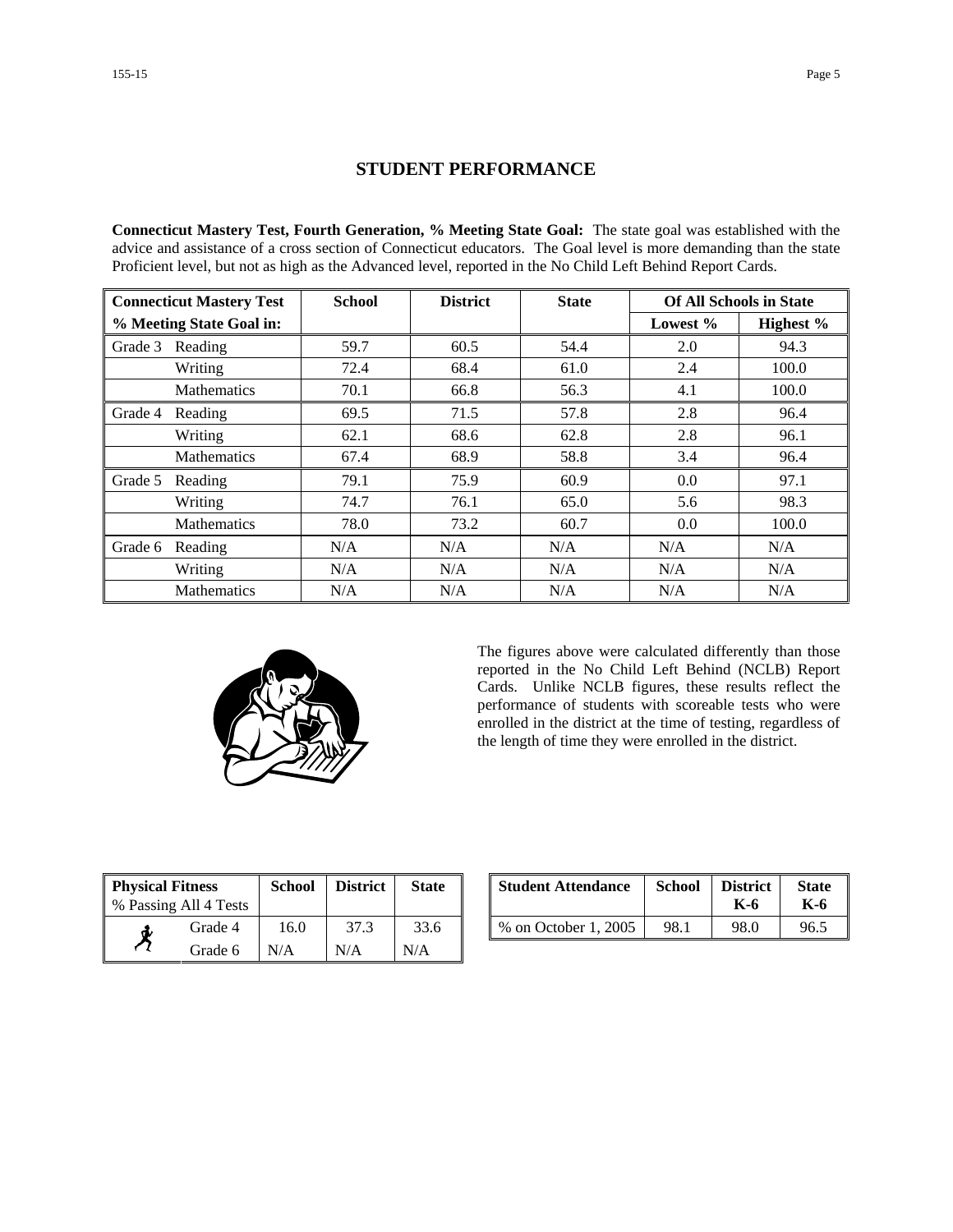### **STUDENT PERFORMANCE**

**Connecticut Mastery Test, Fourth Generation, % Meeting State Goal:** The state goal was established with the advice and assistance of a cross section of Connecticut educators. The Goal level is more demanding than the state Proficient level, but not as high as the Advanced level, reported in the No Child Left Behind Report Cards.

| <b>Connecticut Mastery Test</b> |                    | <b>School</b> | <b>District</b> | <b>State</b> | <b>Of All Schools in State</b> |           |
|---------------------------------|--------------------|---------------|-----------------|--------------|--------------------------------|-----------|
| % Meeting State Goal in:        |                    |               |                 |              | Lowest $%$                     | Highest % |
| Grade 3                         | Reading            | 59.7          | 60.5            | 54.4         | 2.0                            | 94.3      |
|                                 | Writing            | 72.4          | 68.4            | 61.0         | 2.4                            | 100.0     |
|                                 | <b>Mathematics</b> | 70.1          | 66.8            | 56.3         | 4.1                            | 100.0     |
| Grade 4                         | Reading            | 69.5          | 71.5            | 57.8         | 2.8                            | 96.4      |
|                                 | Writing            | 62.1          | 68.6            | 62.8         | 2.8                            | 96.1      |
|                                 | <b>Mathematics</b> | 67.4          | 68.9            | 58.8         | 3.4                            | 96.4      |
| Grade 5                         | Reading            | 79.1          | 75.9            | 60.9         | 0.0                            | 97.1      |
|                                 | Writing            | 74.7          | 76.1            | 65.0         | 5.6                            | 98.3      |
|                                 | <b>Mathematics</b> | 78.0          | 73.2            | 60.7         | 0.0                            | 100.0     |
| Grade 6                         | Reading            | N/A           | N/A             | N/A          | N/A                            | N/A       |
|                                 | Writing            | N/A           | N/A             | N/A          | N/A                            | N/A       |
|                                 | <b>Mathematics</b> | N/A           | N/A             | N/A          | N/A                            | N/A       |



The figures above were calculated differently than those reported in the No Child Left Behind (NCLB) Report Cards. Unlike NCLB figures, these results reflect the performance of students with scoreable tests who were enrolled in the district at the time of testing, regardless of the length of time they were enrolled in the district.

| <b>Physical Fitness</b> |         | <b>School</b> | <b>District</b> | <b>State</b> |
|-------------------------|---------|---------------|-----------------|--------------|
| % Passing All 4 Tests   |         |               |                 |              |
|                         | Grade 4 | 16.0          | 37.3            | 33.6         |
|                         | Grade 6 | N/A           | N/A             | N/A          |

| ness<br>11 4 Tests | School        | <b>District</b> | <b>State</b> | <b>Student Attendance</b> | School | <b>District</b><br>K-6 | <b>State</b><br>K-6 |
|--------------------|---------------|-----------------|--------------|---------------------------|--------|------------------------|---------------------|
| Grade 4            | $0.0^{\circ}$ | 37.3            | 33.6         | % on October 1, 2005      | 98.1   | 98.0                   | 96.5                |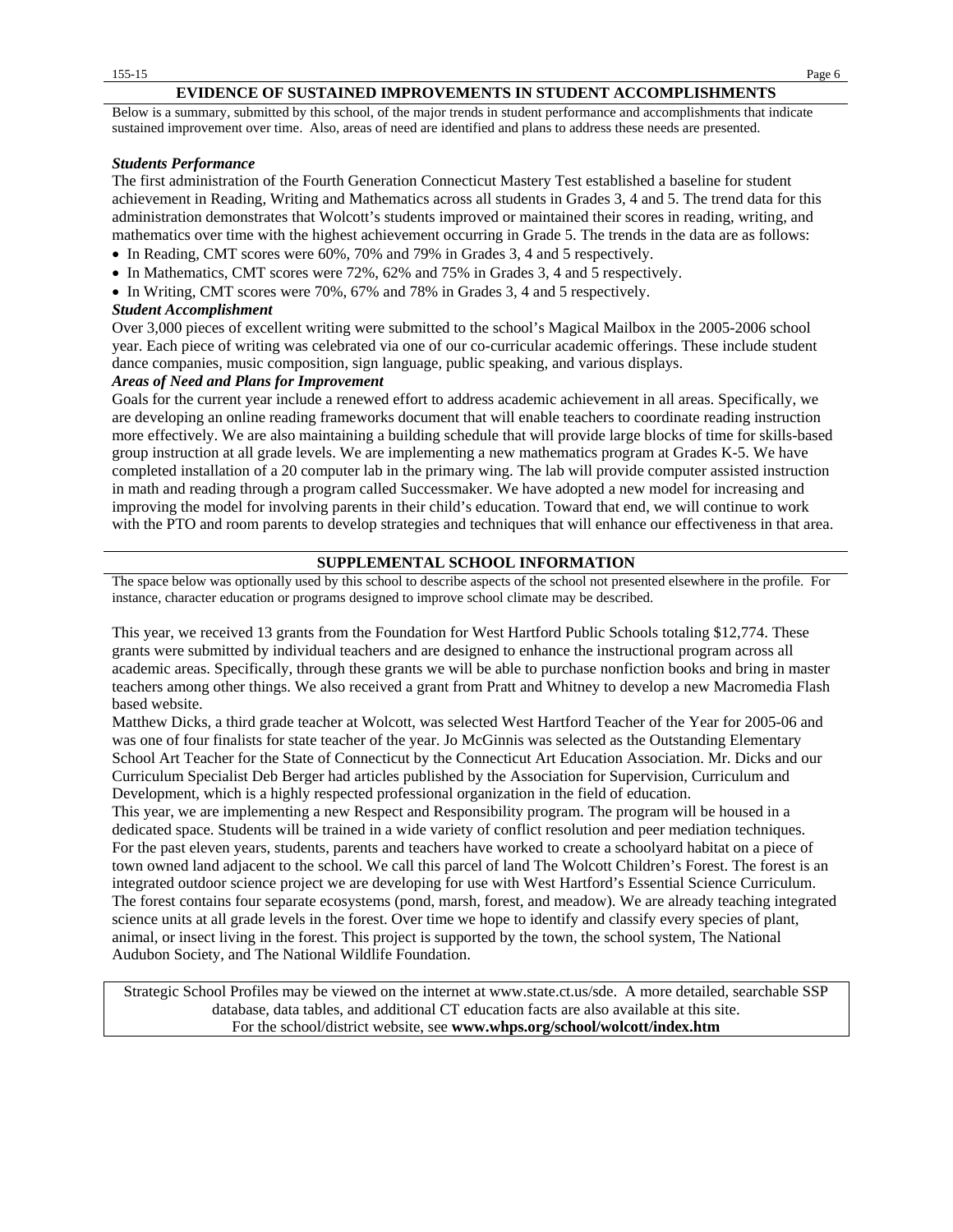#### **EVIDENCE OF SUSTAINED IMPROVEMENTS IN STUDENT ACCOMPLISHMENTS**

Below is a summary, submitted by this school, of the major trends in student performance and accomplishments that indicate sustained improvement over time. Also, areas of need are identified and plans to address these needs are presented.

#### *Students Performance*

The first administration of the Fourth Generation Connecticut Mastery Test established a baseline for student achievement in Reading, Writing and Mathematics across all students in Grades 3, 4 and 5. The trend data for this administration demonstrates that Wolcott's students improved or maintained their scores in reading, writing, and mathematics over time with the highest achievement occurring in Grade 5. The trends in the data are as follows:

- In Reading, CMT scores were 60%, 70% and 79% in Grades 3, 4 and 5 respectively.
- In Mathematics, CMT scores were 72%, 62% and 75% in Grades 3, 4 and 5 respectively.
- In Writing, CMT scores were 70%, 67% and 78% in Grades 3, 4 and 5 respectively.

#### *Student Accomplishment*

Over 3,000 pieces of excellent writing were submitted to the school's Magical Mailbox in the 2005-2006 school year. Each piece of writing was celebrated via one of our co-curricular academic offerings. These include student dance companies, music composition, sign language, public speaking, and various displays.

#### *Areas of Need and Plans for Improvement*

Goals for the current year include a renewed effort to address academic achievement in all areas. Specifically, we are developing an online reading frameworks document that will enable teachers to coordinate reading instruction more effectively. We are also maintaining a building schedule that will provide large blocks of time for skills-based group instruction at all grade levels. We are implementing a new mathematics program at Grades K-5. We have completed installation of a 20 computer lab in the primary wing. The lab will provide computer assisted instruction in math and reading through a program called Successmaker. We have adopted a new model for increasing and improving the model for involving parents in their child's education. Toward that end, we will continue to work with the PTO and room parents to develop strategies and techniques that will enhance our effectiveness in that area.

#### **SUPPLEMENTAL SCHOOL INFORMATION**

The space below was optionally used by this school to describe aspects of the school not presented elsewhere in the profile. For instance, character education or programs designed to improve school climate may be described.

This year, we received 13 grants from the Foundation for West Hartford Public Schools totaling \$12,774. These grants were submitted by individual teachers and are designed to enhance the instructional program across all academic areas. Specifically, through these grants we will be able to purchase nonfiction books and bring in master teachers among other things. We also received a grant from Pratt and Whitney to develop a new Macromedia Flash based website.

Matthew Dicks, a third grade teacher at Wolcott, was selected West Hartford Teacher of the Year for 2005-06 and was one of four finalists for state teacher of the year. Jo McGinnis was selected as the Outstanding Elementary School Art Teacher for the State of Connecticut by the Connecticut Art Education Association. Mr. Dicks and our Curriculum Specialist Deb Berger had articles published by the Association for Supervision, Curriculum and Development, which is a highly respected professional organization in the field of education.

This year, we are implementing a new Respect and Responsibility program. The program will be housed in a dedicated space. Students will be trained in a wide variety of conflict resolution and peer mediation techniques. For the past eleven years, students, parents and teachers have worked to create a schoolyard habitat on a piece of town owned land adjacent to the school. We call this parcel of land The Wolcott Children's Forest. The forest is an integrated outdoor science project we are developing for use with West Hartford's Essential Science Curriculum. The forest contains four separate ecosystems (pond, marsh, forest, and meadow). We are already teaching integrated science units at all grade levels in the forest. Over time we hope to identify and classify every species of plant, animal, or insect living in the forest. This project is supported by the town, the school system, The National Audubon Society, and The National Wildlife Foundation.

Strategic School Profiles may be viewed on the internet at www.state.ct.us/sde. A more detailed, searchable SSP database, data tables, and additional CT education facts are also available at this site. For the school/district website, see **www.whps.org/school/wolcott/index.htm**